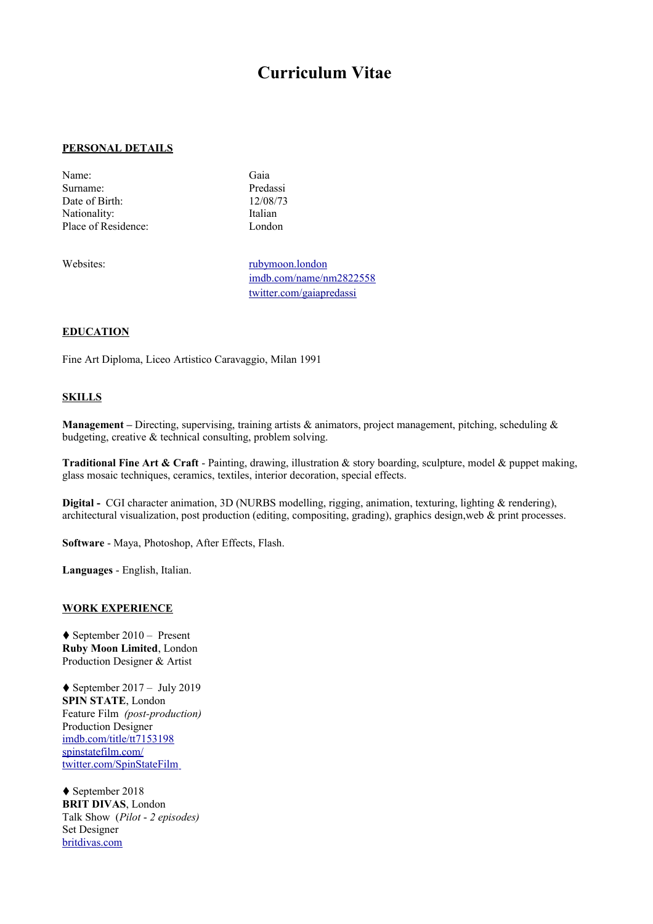# **Curriculum Vitae**

#### **PERSONAL DETAILS**

- Name: Gaia Surname: Predassi Date of Birth: 12/08/73 Nationality: Italian Place of Residence: London
- 

Websites: [rubymoon.london](http://www.rubymoon.london/) [imdb.com/name/nm2822558](http://www.imdb.com/name/nm2822558/) [twitter.com/gaiapredassi](https://twitter.com/gaiapredassi)

### **EDUCATION**

Fine Art Diploma, Liceo Artistico Caravaggio, Milan 1991

#### **SKILLS**

**Management –** Directing, supervising, training artists & animators, project management, pitching, scheduling & budgeting, creative & technical consulting, problem solving.

**Traditional Fine Art & Craft** - Painting, drawing, illustration & story boarding, sculpture, model & puppet making, glass mosaic techniques, ceramics, textiles, interior decoration, special effects.

**Digital -** CGI character animation, 3D (NURBS modelling, rigging, animation, texturing, lighting & rendering), architectural visualization, post production (editing, compositing, grading), graphics design,web & print processes.

**Software** - Maya, Photoshop, After Effects, Flash.

**Languages** - English, Italian.

## **WORK EXPERIENCE**

♦ September 2010 – Present **Ruby Moon Limited**, London Production Designer & Artist

 $\blacklozenge$  September 2017 – July 2019 **SPIN STATE**, London Feature Film *(post-production)* Production Designer [imdb.com/title/tt7153198](http://www.imdb.com/title/tt7153198/) [spinstatefilm.com/](http://www.spinstatefilm.com/)  [twitter.com/SpinStateFilm](https://twitter.com/SpinStateFilm)

♦ September 2018 **BRIT DIVAS**, London Talk Show (*Pilot* - *2 episodes)* Set Designer [britdivas.com](https://britdivas.com/)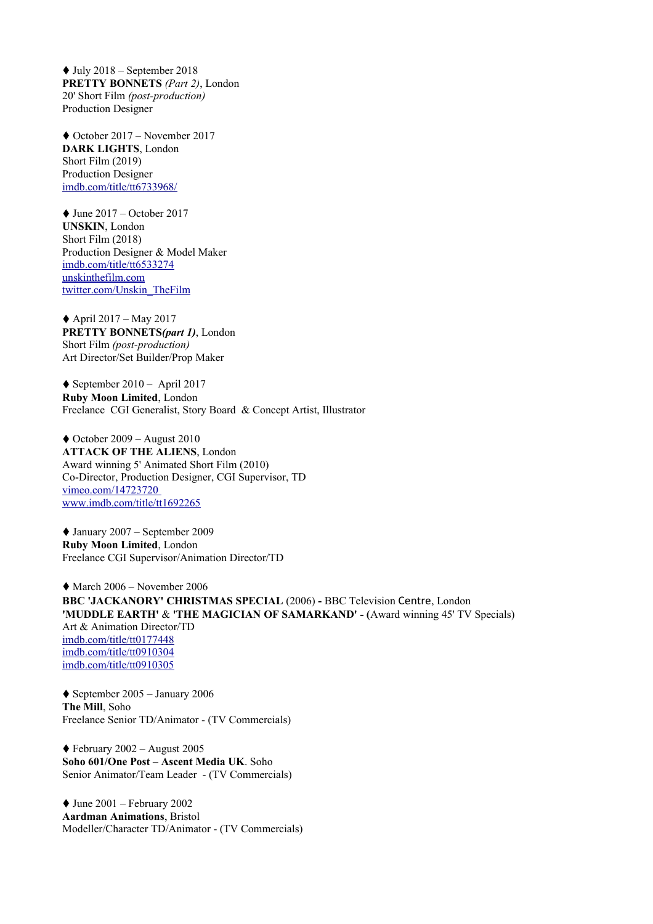$\blacklozenge$  July 2018 – September 2018 **PRETTY BONNETS** *(Part 2)*, London 20' Short Film *(post-production)* Production Designer

♦ October 2017 – November 2017 **DARK LIGHTS**, London Short Film (2019) Production Designer [imdb.com/title/tt6733968/](https://www.imdb.com/title/tt6733968/)

 $\blacklozenge$  June 2017 – October 2017 **UNSKIN**, London Short Film (2018) Production Designer & Model Maker [imdb.com/title/tt6533274](http://www.imdb.com/title/tt6533274/) [unskinthefilm.com](https://unskinthefilm.com/) [twitter.com/Unskin\\_TheFilm](https://twitter.com/Unskin_TheFilm)

 $\triangle$  April 2017 – May 2017 **PRETTY BONNETS***(part 1)*, London Short Film *(post-production)* Art Director/Set Builder/Prop Maker

 $\blacklozenge$  September 2010 – April 2017 **Ruby Moon Limited**, London Freelance CGI Generalist, Story Board & Concept Artist, Illustrator

 $\blacklozenge$  October 2009 – August 2010 **ATTACK OF THE ALIENS**, London Award winning 5' Animated Short Film (2010) Co-Director, Production Designer, CGI Supervisor, TD  [vimeo.com/14723720](http://vimeo.com/14723720) [www.imdb.com/title/tt1692265](http://www.imdb.com/title/tt1692265/)

♦ January 2007 – September 2009 **Ruby Moon Limited**, London Freelance CGI Supervisor/Animation Director/TD

 $\blacklozenge$  March 2006 – November 2006 **BBC 'JACKANORY' CHRISTMAS SPECIAL** (2006) **-** BBC Television Centre, London **'MUDDLE EARTH'** & **'THE MAGICIAN OF SAMARKAND' - (**Award winning 45' TV Specials) Art & Animation Director/TD  [imdb.com/title/tt0177448](http://www.imdb.com/title/tt0177448/) [imdb.com/title/tt0910304](http://www.imdb.com/title/tt0910304/) [imdb.com/title/tt0910305](http://www.imdb.com/title/tt0910305/)

 $\blacklozenge$  September 2005 – January 2006 **The Mill**, Soho Freelance Senior TD/Animator - (TV Commercials)

 $\blacklozenge$  February 2002 – August 2005 **Soho 601/One Post – Ascent Media UK**. Soho Senior Animator/Team Leader - (TV Commercials)

 $\blacklozenge$  June 2001 – February 2002 **Aardman Animations**, Bristol Modeller/Character TD/Animator - (TV Commercials)